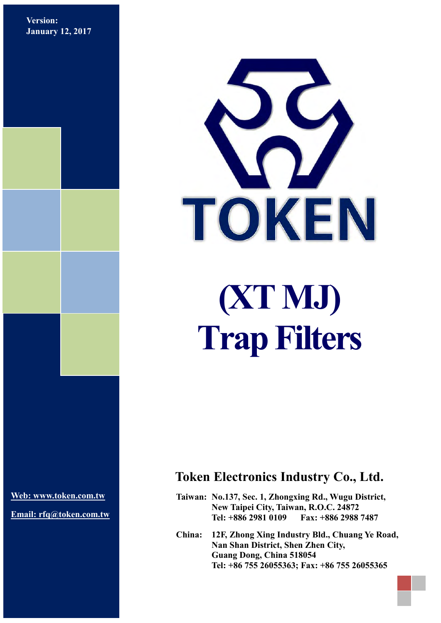**Version: January 12, 2017**



**[Web: www.token.com.tw](http://www.token.com.tw/)**

**Email: rfq@token.com.tw**

### **Token Electronics Industry Co., Ltd.**

**Taiwan: No.137, Sec. 1, Zhongxing Rd., Wugu District, New Taipei City, Taiwan, R.O.C. 24872 Tel: +886 2981 0109 Fax: +886 2988 7487**

**China: 12F, Zhong Xing Industry Bld., Chuang Ye Road, Nan Shan District, Shen Zhen City, Guang Dong, China 518054 Tel: +86 755 26055363; Fax: +86 755 26055365**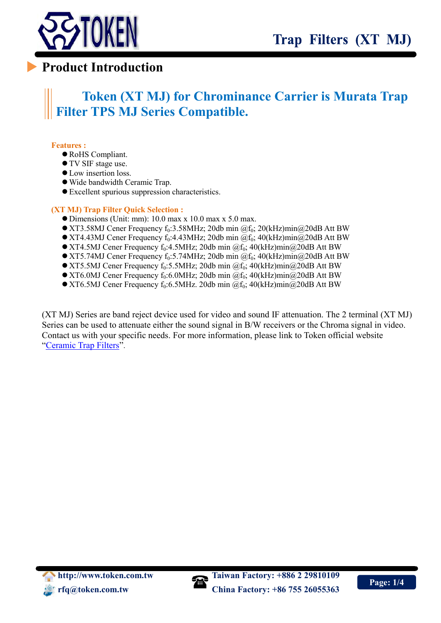

## **Product Introduction**

## **Token (XT MJ) for Chrominance Carrier is Murata Trap Filter TPS MJ Series Compatible.**

#### **Features :**

- RoHS Compliant.
- TV SIF stage use.
- Low insertion loss.
- Wide bandwidth Ceramic Trap.
- Excellent spurious suppression characteristics.

#### **(XT MJ) Trap Filter Quick Selection :**

- Dimensions (Unit: mm): 10.0 max x 10.0 max x 5.0 max.
- $\bullet$  XT3.58MJ Cener Frequency f<sub>0</sub>:3.58MHz; 20db min @f<sub>0</sub>; 20(kHz)min@20dB Att BW
- $\bullet$  XT4.43MJ Cener Frequency f<sub>0</sub>:4.43MHz; 20db min @f<sub>0</sub>; 40(kHz)min@20dB Att BW
- $\bullet$  XT4.5MJ Cener Frequency f<sub>0</sub>:4.5MHz; 20db min  $@f<sub>0</sub>$ ; 40(kHz)min $@20dB$  Att BW
- $\bullet$  XT5.74MJ Cener Frequency f<sub>0</sub>:5.74MHz; 20db min @f<sub>0</sub>; 40(kHz)min@20dB Att BW
- $\bullet$  XT5.5MJ Cener Frequency f<sub>0</sub>:5.5MHz; 20db min @f<sub>0</sub>; 40(kHz)min@20dB Att BW
- $\bullet$  XT6.0MJ Cener Frequency f<sub>0</sub>:6.0MHz; 20db min @f<sub>0</sub>; 40(kHz)min@20dB Att BW
- $\bullet$  XT6.5MJ Cener Frequency f<sub>0</sub>:6.5MHz. 20db min @f<sub>0</sub>; 40(kHz)min@20dB Att BW

(XT MJ) Series are band reject device used for video and sound IF attenuation. The 2 terminal (XT MJ) Series can be used to attenuate either the sound signal in B/W receivers or the Chroma signal in video. Contact us with your specific needs. For more information, please link to Token official website "[Ceramic Trap Filters](http://www.token.com.tw/ceramic-trap/index.html)".

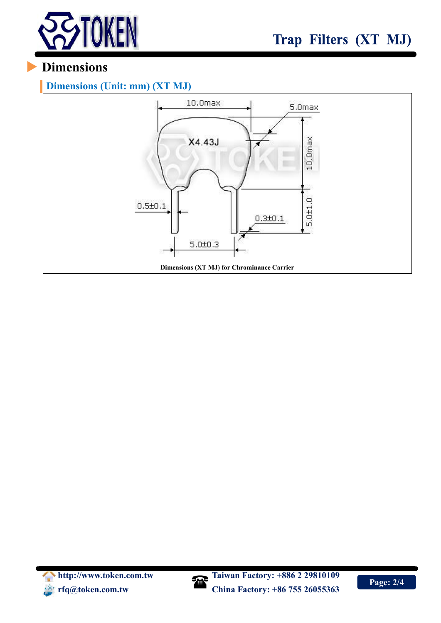

## **Dimensions**

### **Dimensions (Unit: mm) (XT MJ)**



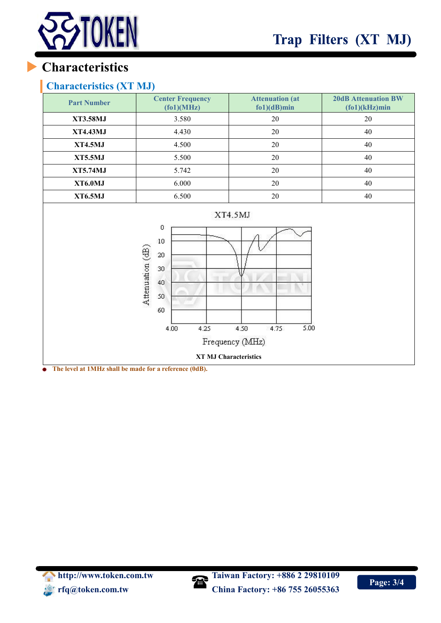

# **Characteristics**

### **Characteristics (XT MJ)**

| <b>Part Number</b> | <b>Center Frequency</b><br>(fo1)(MHz) | <b>Attenuation</b> (at<br>$f(01)(dB)$ min | <b>20dB Attenuation BW</b><br>$(fo1)(kHz)$ min |
|--------------------|---------------------------------------|-------------------------------------------|------------------------------------------------|
| <b>XT3.58MJ</b>    | 3.580                                 | 20                                        | 20                                             |
| <b>XT4.43MJ</b>    | 4.430                                 | 20                                        | 40                                             |
| <b>XT4.5MJ</b>     | 4.500                                 | 20                                        | 40                                             |
| <b>XT5.5MJ</b>     | 5.500                                 | 20                                        | 40                                             |
| <b>XT5.74MJ</b>    | 5.742                                 | 20                                        | 40                                             |
| <b>XT6.0MJ</b>     | 6.000                                 | 20                                        | 40                                             |
| <b>XT6.5MJ</b>     | 6.500                                 | 20                                        | 40                                             |
|                    | 0<br>10<br>$\tan{(dB)}$<br>20<br>30   | XT4.5MJ                                   |                                                |



**The level at 1MHz shall be made for a reference (0dB).** $\bullet$